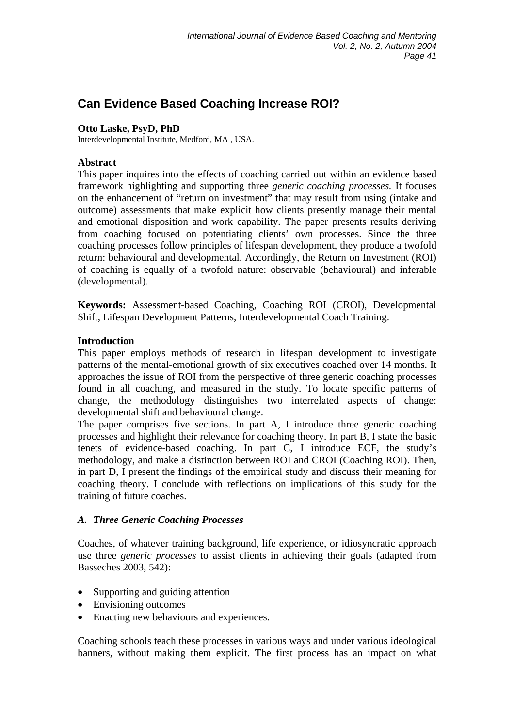# **Can Evidence Based Coaching Increase ROI?**

#### **Otto Laske, PsyD, PhD**

Interdevelopmental Institute, Medford, MA , USA.

#### **Abstract**

This paper inquires into the effects of coaching carried out within an evidence based framework highlighting and supporting three *generic coaching processes.* It focuses on the enhancement of "return on investment" that may result from using (intake and outcome) assessments that make explicit how clients presently manage their mental and emotional disposition and work capability. The paper presents results deriving from coaching focused on potentiating clients' own processes. Since the three coaching processes follow principles of lifespan development, they produce a twofold return: behavioural and developmental. Accordingly, the Return on Investment (ROI) of coaching is equally of a twofold nature: observable (behavioural) and inferable (developmental).

**Keywords:** Assessment-based Coaching, Coaching ROI (CROI), Developmental Shift, Lifespan Development Patterns, Interdevelopmental Coach Training.

#### **Introduction**

This paper employs methods of research in lifespan development to investigate patterns of the mental-emotional growth of six executives coached over 14 months. It approaches the issue of ROI from the perspective of three generic coaching processes found in all coaching, and measured in the study. To locate specific patterns of change, the methodology distinguishes two interrelated aspects of change: developmental shift and behavioural change.

The paper comprises five sections. In part A, I introduce three generic coaching processes and highlight their relevance for coaching theory. In part B, I state the basic tenets of evidence-based coaching. In part C, I introduce ECF, the study's methodology, and make a distinction between ROI and CROI (Coaching ROI). Then, in part D, I present the findings of the empirical study and discuss their meaning for coaching theory. I conclude with reflections on implications of this study for the training of future coaches.

## *A. Three Generic Coaching Processes*

Coaches, of whatever training background, life experience, or idiosyncratic approach use three *generic processes* to assist clients in achieving their goals (adapted from Basseches 2003, 542):

- Supporting and guiding attention
- Envisioning outcomes
- Enacting new behaviours and experiences.

Coaching schools teach these processes in various ways and under various ideological banners, without making them explicit. The first process has an impact on what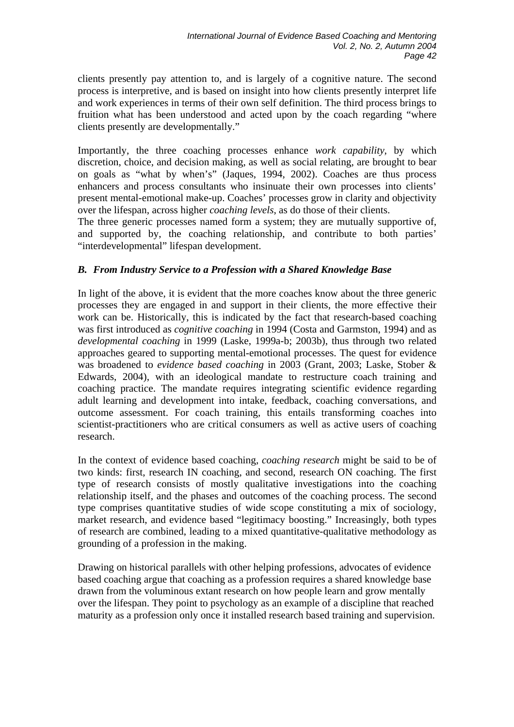clients presently pay attention to, and is largely of a cognitive nature. The second process is interpretive, and is based on insight into how clients presently interpret life and work experiences in terms of their own self definition. The third process brings to fruition what has been understood and acted upon by the coach regarding "where clients presently are developmentally."

Importantly, the three coaching processes enhance *work capability*, by which discretion, choice, and decision making, as well as social relating, are brought to bear on goals as "what by when's" (Jaques, 1994, 2002). Coaches are thus process enhancers and process consultants who insinuate their own processes into clients' present mental-emotional make-up. Coaches' processes grow in clarity and objectivity over the lifespan, across higher *coaching levels*, as do those of their clients.

The three generic processes named form a system; they are mutually supportive of, and supported by, the coaching relationship, and contribute to both parties' "interdevelopmental" lifespan development.

# *B. From Industry Service to a Profession with a Shared Knowledge Base*

In light of the above, it is evident that the more coaches know about the three generic processes they are engaged in and support in their clients, the more effective their work can be. Historically, this is indicated by the fact that research-based coaching was first introduced as *cognitive coaching* in 1994 (Costa and Garmston, 1994) and as *developmental coaching* in 1999 (Laske, 1999a-b; 2003b), thus through two related approaches geared to supporting mental-emotional processes. The quest for evidence was broadened to *evidence based coaching* in 2003 (Grant, 2003; Laske, Stober & Edwards, 2004), with an ideological mandate to restructure coach training and coaching practice. The mandate requires integrating scientific evidence regarding adult learning and development into intake, feedback, coaching conversations, and outcome assessment. For coach training, this entails transforming coaches into scientist-practitioners who are critical consumers as well as active users of coaching research.

In the context of evidence based coaching, *coaching research* might be said to be of two kinds: first, research IN coaching, and second, research ON coaching. The first type of research consists of mostly qualitative investigations into the coaching relationship itself, and the phases and outcomes of the coaching process. The second type comprises quantitative studies of wide scope constituting a mix of sociology, market research, and evidence based "legitimacy boosting." Increasingly, both types of research are combined, leading to a mixed quantitative-qualitative methodology as grounding of a profession in the making.

Drawing on historical parallels with other helping professions, advocates of evidence based coaching argue that coaching as a profession requires a shared knowledge base drawn from the voluminous extant research on how people learn and grow mentally over the lifespan. They point to psychology as an example of a discipline that reached maturity as a profession only once it installed research based training and supervision.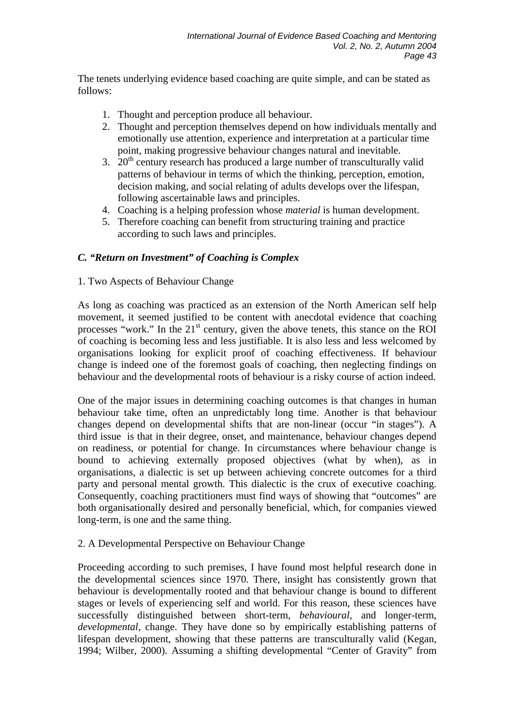The tenets underlying evidence based coaching are quite simple, and can be stated as follows:

- 1. Thought and perception produce all behaviour.
- 2. Thought and perception themselves depend on how individuals mentally and emotionally use attention, experience and interpretation at a particular time point, making progressive behaviour changes natural and inevitable.
- 3.  $20<sup>th</sup>$  century research has produced a large number of transculturally valid patterns of behaviour in terms of which the thinking, perception, emotion, decision making, and social relating of adults develops over the lifespan, following ascertainable laws and principles.
- 4. Coaching is a helping profession whose *material* is human development.
- 5. Therefore coaching can benefit from structuring training and practice according to such laws and principles.

# *C. "Return on Investment" of Coaching is Complex*

## 1. Two Aspects of Behaviour Change

As long as coaching was practiced as an extension of the North American self help movement, it seemed justified to be content with anecdotal evidence that coaching processes "work." In the  $21<sup>st</sup>$  century, given the above tenets, this stance on the ROI of coaching is becoming less and less justifiable. It is also less and less welcomed by organisations looking for explicit proof of coaching effectiveness. If behaviour change is indeed one of the foremost goals of coaching, then neglecting findings on behaviour and the developmental roots of behaviour is a risky course of action indeed.

One of the major issues in determining coaching outcomes is that changes in human behaviour take time, often an unpredictably long time. Another is that behaviour changes depend on developmental shifts that are non-linear (occur "in stages"). A third issue is that in their degree, onset, and maintenance, behaviour changes depend on readiness, or potential for change. In circumstances where behaviour change is bound to achieving externally proposed objectives (what by when), as in organisations, a dialectic is set up between achieving concrete outcomes for a third party and personal mental growth. This dialectic is the crux of executive coaching. Consequently, coaching practitioners must find ways of showing that "outcomes" are both organisationally desired and personally beneficial, which, for companies viewed long-term, is one and the same thing.

## 2. A Developmental Perspective on Behaviour Change

Proceeding according to such premises, I have found most helpful research done in the developmental sciences since 1970. There, insight has consistently grown that behaviour is developmentally rooted and that behaviour change is bound to different stages or levels of experiencing self and world. For this reason, these sciences have successfully distinguished between short-term, *behavioural*, and longer-term, *developmental,* change. They have done so by empirically establishing patterns of lifespan development, showing that these patterns are transculturally valid (Kegan, 1994; Wilber, 2000). Assuming a shifting developmental "Center of Gravity" from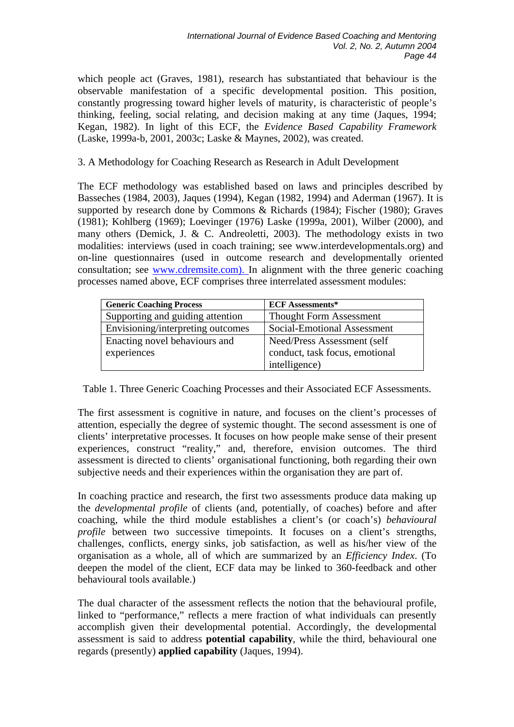which people act (Graves, 1981), research has substantiated that behaviour is the observable manifestation of a specific developmental position. This position, constantly progressing toward higher levels of maturity, is characteristic of people's thinking, feeling, social relating, and decision making at any time (Jaques, 1994; Kegan, 1982). In light of this ECF, the *Evidence Based Capability Framework* (Laske, 1999a-b, 2001, 2003c; Laske & Maynes, 2002), was created.

#### 3. A Methodology for Coaching Research as Research in Adult Development

The ECF methodology was established based on laws and principles described by Basseches (1984, 2003), Jaques (1994), Kegan (1982, 1994) and Aderman (1967). It is supported by research done by Commons & Richards (1984); Fischer (1980); Graves (1981); Kohlberg (1969); Loevinger (1976) Laske (1999a, 2001), Wilber (2000), and many others (Demick, J. & C. Andreoletti, 2003). The methodology exists in two modalities: interviews (used in coach training; see www.interdevelopmentals.org) and on-line questionnaires (used in outcome research and developmentally oriented consultation; see [www.cdremsite.com\).](http://www.interdevelopmentals.org)/) In alignment with the three generic coaching processes named above, ECF comprises three interrelated assessment modules:

| <b>Generic Coaching Process</b>   | <b>ECF Assessments*</b>        |
|-----------------------------------|--------------------------------|
| Supporting and guiding attention  | <b>Thought Form Assessment</b> |
| Envisioning/interpreting outcomes | Social-Emotional Assessment    |
| Enacting novel behaviours and     | Need/Press Assessment (self    |
| experiences                       | conduct, task focus, emotional |
|                                   | intelligence)                  |

Table 1. Three Generic Coaching Processes and their Associated ECF Assessments.

The first assessment is cognitive in nature, and focuses on the client's processes of attention, especially the degree of systemic thought. The second assessment is one of clients' interpretative processes. It focuses on how people make sense of their present experiences, construct "reality," and, therefore, envision outcomes. The third assessment is directed to clients' organisational functioning, both regarding their own subjective needs and their experiences within the organisation they are part of.

In coaching practice and research, the first two assessments produce data making up the *developmental profile* of clients (and, potentially, of coaches) before and after coaching, while the third module establishes a client's (or coach's) *behavioural profile* between two successive timepoints. It focuses on a client's strengths, challenges, conflicts, energy sinks, job satisfaction, as well as his/her view of the organisation as a whole, all of which are summarized by an *Efficiency Index*. (To deepen the model of the client, ECF data may be linked to 360-feedback and other behavioural tools available.)

The dual character of the assessment reflects the notion that the behavioural profile, linked to "performance," reflects a mere fraction of what individuals can presently accomplish given their developmental potential. Accordingly, the developmental assessment is said to address **potential capability**, while the third, behavioural one regards (presently) **applied capability** (Jaques, 1994).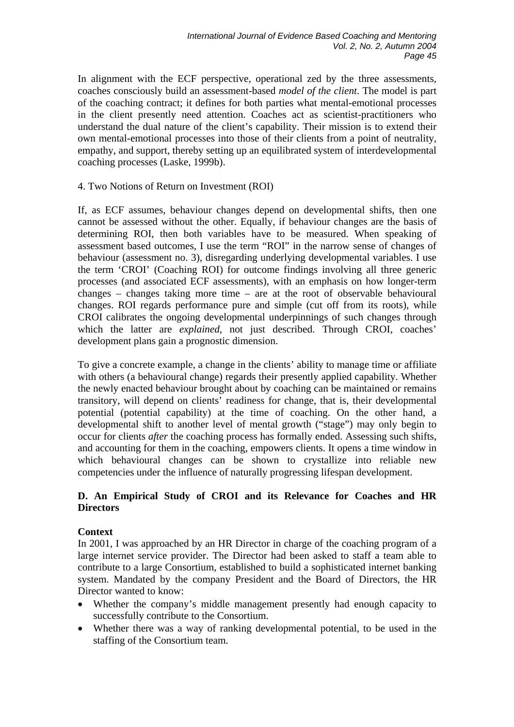In alignment with the ECF perspective, operational zed by the three assessments, coaches consciously build an assessment-based *model of the client*. The model is part of the coaching contract; it defines for both parties what mental-emotional processes in the client presently need attention. Coaches act as scientist-practitioners who understand the dual nature of the client's capability. Their mission is to extend their own mental-emotional processes into those of their clients from a point of neutrality, empathy, and support, thereby setting up an equilibrated system of interdevelopmental coaching processes (Laske, 1999b).

#### 4. Two Notions of Return on Investment (ROI)

If, as ECF assumes, behaviour changes depend on developmental shifts, then one cannot be assessed without the other. Equally, if behaviour changes are the basis of determining ROI, then both variables have to be measured. When speaking of assessment based outcomes, I use the term "ROI" in the narrow sense of changes of behaviour (assessment no. 3), disregarding underlying developmental variables. I use the term 'CROI' (Coaching ROI) for outcome findings involving all three generic processes (and associated ECF assessments), with an emphasis on how longer-term changes – changes taking more time – are at the root of observable behavioural changes. ROI regards performance pure and simple (cut off from its roots), while CROI calibrates the ongoing developmental underpinnings of such changes through which the latter are *explained*, not just described. Through CROI, coaches' development plans gain a prognostic dimension.

To give a concrete example, a change in the clients' ability to manage time or affiliate with others (a behavioural change) regards their presently applied capability. Whether the newly enacted behaviour brought about by coaching can be maintained or remains transitory, will depend on clients' readiness for change, that is, their developmental potential (potential capability) at the time of coaching. On the other hand, a developmental shift to another level of mental growth ("stage") may only begin to occur for clients *after* the coaching process has formally ended. Assessing such shifts, and accounting for them in the coaching, empowers clients. It opens a time window in which behavioural changes can be shown to crystallize into reliable new competencies under the influence of naturally progressing lifespan development.

## **D. An Empirical Study of CROI and its Relevance for Coaches and HR Directors**

## **Context**

In 2001, I was approached by an HR Director in charge of the coaching program of a large internet service provider. The Director had been asked to staff a team able to contribute to a large Consortium, established to build a sophisticated internet banking system. Mandated by the company President and the Board of Directors, the HR Director wanted to know:

- Whether the company's middle management presently had enough capacity to successfully contribute to the Consortium.
- Whether there was a way of ranking developmental potential, to be used in the staffing of the Consortium team.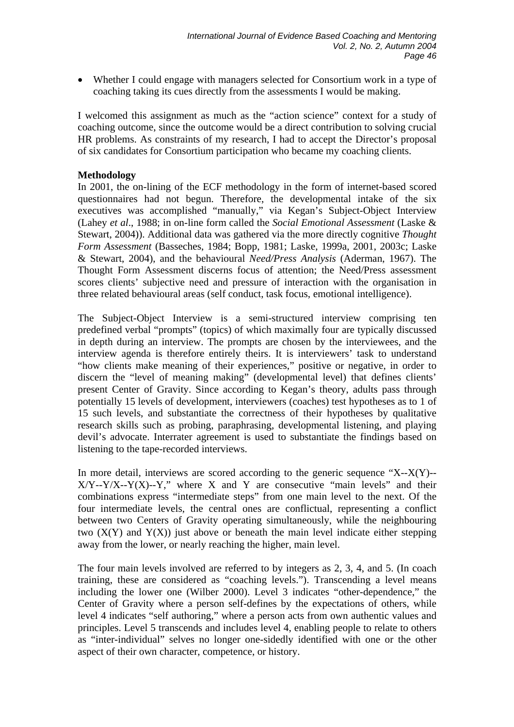• Whether I could engage with managers selected for Consortium work in a type of coaching taking its cues directly from the assessments I would be making.

I welcomed this assignment as much as the "action science" context for a study of coaching outcome, since the outcome would be a direct contribution to solving crucial HR problems. As constraints of my research, I had to accept the Director's proposal of six candidates for Consortium participation who became my coaching clients.

#### **Methodology**

In 2001, the on-lining of the ECF methodology in the form of internet-based scored questionnaires had not begun. Therefore, the developmental intake of the six executives was accomplished "manually," via Kegan's Subject-Object Interview (Lahey *et al*., 1988; in on-line form called the *Social Emotional Assessment* (Laske & Stewart, 2004)). Additional data was gathered via the more directly cognitive *Thought Form Assessment* (Basseches, 1984; Bopp, 1981; Laske, 1999a, 2001, 2003c; Laske & Stewart, 2004), and the behavioural *Need/Press Analysis* (Aderman, 1967). The Thought Form Assessment discerns focus of attention; the Need/Press assessment scores clients' subjective need and pressure of interaction with the organisation in three related behavioural areas (self conduct, task focus, emotional intelligence).

The Subject-Object Interview is a semi-structured interview comprising ten predefined verbal "prompts" (topics) of which maximally four are typically discussed in depth during an interview. The prompts are chosen by the interviewees, and the interview agenda is therefore entirely theirs. It is interviewers' task to understand "how clients make meaning of their experiences," positive or negative, in order to discern the "level of meaning making" (developmental level) that defines clients' present Center of Gravity. Since according to Kegan's theory, adults pass through potentially 15 levels of development, interviewers (coaches) test hypotheses as to 1 of 15 such levels, and substantiate the correctness of their hypotheses by qualitative research skills such as probing, paraphrasing, developmental listening, and playing devil's advocate. Interrater agreement is used to substantiate the findings based on listening to the tape-recorded interviews.

In more detail, interviews are scored according to the generic sequence  $X-X(Y)$ -- $X/Y$ --Y/X--Y(X)--Y," where X and Y are consecutive "main levels" and their combinations express "intermediate steps" from one main level to the next. Of the four intermediate levels, the central ones are conflictual, representing a conflict between two Centers of Gravity operating simultaneously, while the neighbouring two  $(X(Y)$  and  $Y(X)$ ) just above or beneath the main level indicate either stepping away from the lower, or nearly reaching the higher, main level.

The four main levels involved are referred to by integers as 2, 3, 4, and 5. (In coach training, these are considered as "coaching levels."). Transcending a level means including the lower one (Wilber 2000). Level 3 indicates "other-dependence," the Center of Gravity where a person self-defines by the expectations of others, while level 4 indicates "self authoring," where a person acts from own authentic values and principles. Level 5 transcends and includes level 4, enabling people to relate to others as "inter-individual" selves no longer one-sidedly identified with one or the other aspect of their own character, competence, or history.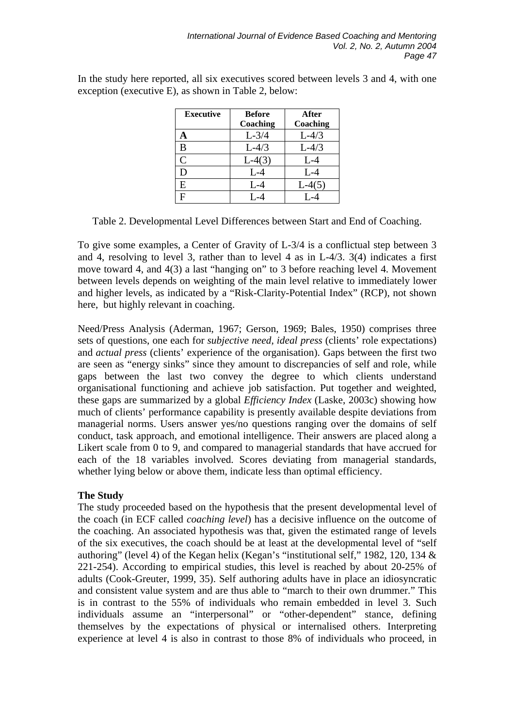| <b>Executive</b> | <b>Before</b> | After    |
|------------------|---------------|----------|
|                  | Coaching      | Coaching |
| A                | $L-3/4$       | $L-4/3$  |
| B                | $L-4/3$       | $L-4/3$  |
| $\overline{C}$   | $L-4(3)$      | $L-4$    |
| D                | $L-4$         | $L-4$    |
| E                | $L - 4$       | $L-4(5)$ |
| F                | $I - 4$       |          |

In the study here reported, all six executives scored between levels 3 and 4, with one exception (executive E), as shown in Table 2, below:

Table 2. Developmental Level Differences between Start and End of Coaching.

To give some examples, a Center of Gravity of L-3/4 is a conflictual step between 3 and 4, resolving to level 3, rather than to level 4 as in L-4/3. 3(4) indicates a first move toward 4, and 4(3) a last "hanging on" to 3 before reaching level 4. Movement between levels depends on weighting of the main level relative to immediately lower and higher levels, as indicated by a "Risk-Clarity-Potential Index" (RCP), not shown here, but highly relevant in coaching.

Need/Press Analysis (Aderman, 1967; Gerson, 1969; Bales, 1950) comprises three sets of questions, one each for *subjective need*, *ideal press* (clients' role expectations) and *actual press* (clients' experience of the organisation). Gaps between the first two are seen as "energy sinks" since they amount to discrepancies of self and role, while gaps between the last two convey the degree to which clients understand organisational functioning and achieve job satisfaction. Put together and weighted, these gaps are summarized by a global *Efficiency Index* (Laske, 2003c) showing how much of clients' performance capability is presently available despite deviations from managerial norms. Users answer yes/no questions ranging over the domains of self conduct, task approach, and emotional intelligence. Their answers are placed along a Likert scale from 0 to 9, and compared to managerial standards that have accrued for each of the 18 variables involved. Scores deviating from managerial standards, whether lying below or above them, indicate less than optimal efficiency.

## **The Study**

The study proceeded based on the hypothesis that the present developmental level of the coach (in ECF called *coaching level*) has a decisive influence on the outcome of the coaching. An associated hypothesis was that, given the estimated range of levels of the six executives, the coach should be at least at the developmental level of "self authoring" (level 4) of the Kegan helix (Kegan's "institutional self," 1982, 120, 134 & 221-254). According to empirical studies, this level is reached by about 20-25% of adults (Cook-Greuter, 1999, 35). Self authoring adults have in place an idiosyncratic and consistent value system and are thus able to "march to their own drummer." This is in contrast to the 55% of individuals who remain embedded in level 3. Such individuals assume an "interpersonal" or "other-dependent" stance, defining themselves by the expectations of physical or internalised others. Interpreting experience at level 4 is also in contrast to those 8% of individuals who proceed, in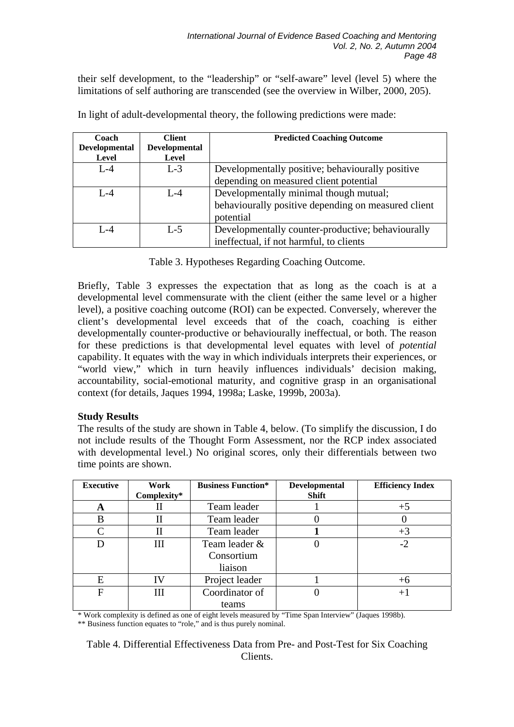their self development, to the "leadership" or "self-aware" level (level 5) where the limitations of self authoring are transcended (see the overview in Wilber, 2000, 205).

| Coach                | <b>Client</b>        | <b>Predicted Coaching Outcome</b>                   |
|----------------------|----------------------|-----------------------------------------------------|
| <b>Developmental</b> | <b>Developmental</b> |                                                     |
| Level                | <b>Level</b>         |                                                     |
| $L - 4$              | $L-3$                | Developmentally positive; behaviourally positive    |
|                      |                      | depending on measured client potential              |
| $L - 4$              | $L - 4$              | Developmentally minimal though mutual;              |
|                      |                      | behaviourally positive depending on measured client |
|                      |                      | potential                                           |
| $L - 4$              | $L - 5$              | Developmentally counter-productive; behaviourally   |
|                      |                      | ineffectual, if not harmful, to clients             |

In light of adult-developmental theory, the following predictions were made:

Table 3. Hypotheses Regarding Coaching Outcome.

Briefly, Table 3 expresses the expectation that as long as the coach is at a developmental level commensurate with the client (either the same level or a higher level), a positive coaching outcome (ROI) can be expected. Conversely, wherever the client's developmental level exceeds that of the coach, coaching is either developmentally counter-productive or behaviourally ineffectual, or both. The reason for these predictions is that developmental level equates with level of *potential* capability. It equates with the way in which individuals interprets their experiences, or "world view," which in turn heavily influences individuals' decision making, accountability, social-emotional maturity, and cognitive grasp in an organisational context (for details, Jaques 1994, 1998a; Laske, 1999b, 2003a).

## **Study Results**

The results of the study are shown in Table 4, below. (To simplify the discussion, I do not include results of the Thought Form Assessment, nor the RCP index associated with developmental level.) No original scores, only their differentials between two time points are shown.

| <b>Executive</b> | Work        | <b>Business Function*</b> | <b>Developmental</b> | <b>Efficiency Index</b> |
|------------------|-------------|---------------------------|----------------------|-------------------------|
|                  | Complexity* |                           | <b>Shift</b>         |                         |
| A                |             | Team leader               |                      | $+5$                    |
| B                | П           | Team leader               |                      |                         |
|                  |             | Team leader               |                      | $+3$                    |
|                  | Ш           | Team leader &             |                      | $-2$                    |
|                  |             | Consortium                |                      |                         |
|                  |             | liaison                   |                      |                         |
| E                | IV          | Project leader            |                      | $+6$                    |
| F                | Ш           | Coordinator of            |                      | $+$                     |
|                  |             | teams                     |                      |                         |

\* Work complexity is defined as one of eight levels measured by "Time Span Interview" (Jaques 1998b).

\*\* Business function equates to "role," and is thus purely nominal.

Table 4. Differential Effectiveness Data from Pre- and Post-Test for Six Coaching Clients.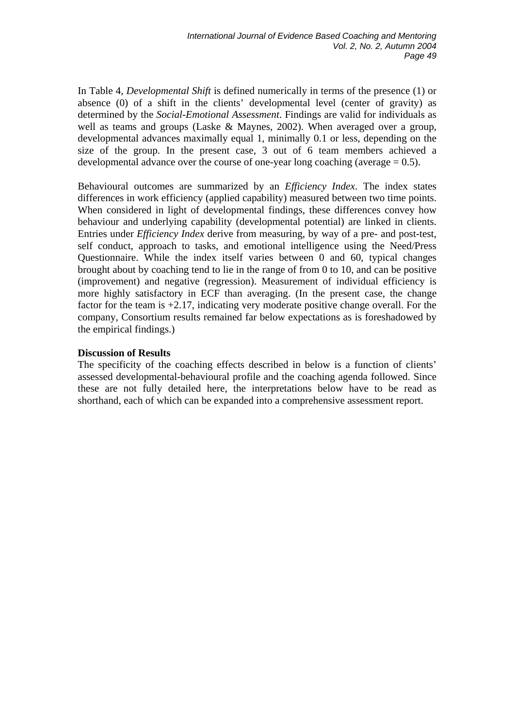In Table 4, *Developmental Shift* is defined numerically in terms of the presence (1) or absence (0) of a shift in the clients' developmental level (center of gravity) as determined by the *Social-Emotional Assessment*. Findings are valid for individuals as well as teams and groups (Laske & Maynes, 2002). When averaged over a group, developmental advances maximally equal 1, minimally 0.1 or less, depending on the size of the group. In the present case, 3 out of 6 team members achieved a developmental advance over the course of one-year long coaching (average  $= 0.5$ ).

Behavioural outcomes are summarized by an *Efficiency Index*. The index states differences in work efficiency (applied capability) measured between two time points. When considered in light of developmental findings, these differences convey how behaviour and underlying capability (developmental potential) are linked in clients. Entries under *Efficiency Index* derive from measuring, by way of a pre- and post-test, self conduct, approach to tasks, and emotional intelligence using the Need/Press Questionnaire. While the index itself varies between 0 and 60, typical changes brought about by coaching tend to lie in the range of from 0 to 10, and can be positive (improvement) and negative (regression). Measurement of individual efficiency is more highly satisfactory in ECF than averaging. (In the present case, the change factor for the team is  $+2.17$ , indicating very moderate positive change overall. For the company, Consortium results remained far below expectations as is foreshadowed by the empirical findings.)

#### **Discussion of Results**

The specificity of the coaching effects described in below is a function of clients' assessed developmental-behavioural profile and the coaching agenda followed. Since these are not fully detailed here, the interpretations below have to be read as shorthand, each of which can be expanded into a comprehensive assessment report.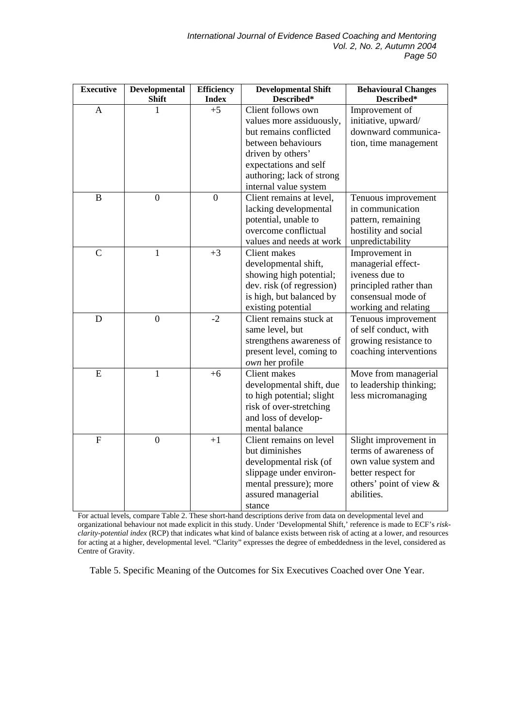| <b>Executive</b>          | Developmental<br><b>Shift</b> | <b>Efficiency</b><br><b>Index</b> | <b>Developmental Shift</b><br>Described*                                                                                                                                                           | <b>Behavioural Changes</b><br>Described*                                                                                              |
|---------------------------|-------------------------------|-----------------------------------|----------------------------------------------------------------------------------------------------------------------------------------------------------------------------------------------------|---------------------------------------------------------------------------------------------------------------------------------------|
| $\mathbf{A}$              | 1                             | $+5$                              | Client follows own<br>values more assiduously,<br>but remains conflicted<br>between behaviours<br>driven by others'<br>expectations and self<br>authoring; lack of strong<br>internal value system | Improvement of<br>initiative, upward/<br>downward communica-<br>tion, time management                                                 |
| $\bf{B}$                  | $\overline{0}$                | $\overline{0}$                    | Client remains at level,<br>lacking developmental<br>potential, unable to<br>overcome conflictual<br>values and needs at work                                                                      | Tenuous improvement<br>in communication<br>pattern, remaining<br>hostility and social<br>unpredictability                             |
| $\overline{C}$            | $\mathbf{1}$                  | $+3$                              | <b>Client</b> makes<br>developmental shift,<br>showing high potential;<br>dev. risk (of regression)<br>is high, but balanced by<br>existing potential                                              | Improvement in<br>managerial effect-<br>iveness due to<br>principled rather than<br>consensual mode of<br>working and relating        |
| D                         | $\boldsymbol{0}$              | $-2$                              | Client remains stuck at<br>same level, but<br>strengthens awareness of<br>present level, coming to<br>own her profile                                                                              | Tenuous improvement<br>of self conduct, with<br>growing resistance to<br>coaching interventions                                       |
| ${\bf E}$                 | $\mathbf{1}$                  | $+6$                              | Client makes<br>developmental shift, due<br>to high potential; slight<br>risk of over-stretching<br>and loss of develop-<br>mental balance                                                         | Move from managerial<br>to leadership thinking;<br>less micromanaging                                                                 |
| $\boldsymbol{\mathrm{F}}$ | $\overline{0}$                | $+1$                              | Client remains on level<br>but diminishes<br>developmental risk (of<br>slippage under environ-<br>mental pressure); more<br>assured managerial<br>stance                                           | Slight improvement in<br>terms of awareness of<br>own value system and<br>better respect for<br>others' point of view &<br>abilities. |

For actual levels, compare Table 2. These short-hand descriptions derive from data on developmental level and organizational behaviour not made explicit in this study. Under 'Developmental Shift,' reference is made to ECF's *riskclarity-potential index* (RCP) that indicates what kind of balance exists between risk of acting at a lower, and resources for acting at a higher, developmental level. "Clarity" expresses the degree of embeddedness in the level, considered as Centre of Gravity.

Table 5. Specific Meaning of the Outcomes for Six Executives Coached over One Year.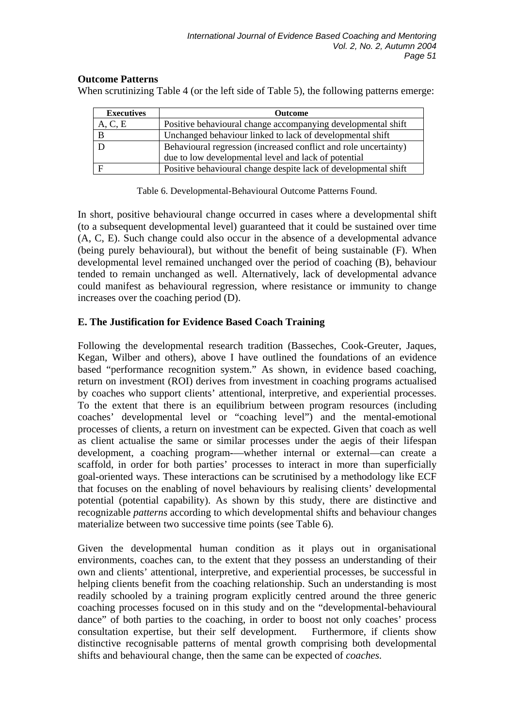#### **Outcome Patterns**

When scrutinizing Table 4 (or the left side of Table 5), the following patterns emerge:

| <b>Executives</b> | <b>Outcome</b>                                                   |
|-------------------|------------------------------------------------------------------|
| A, C, E           | Positive behavioural change accompanying developmental shift     |
|                   | Unchanged behaviour linked to lack of developmental shift        |
|                   | Behavioural regression (increased conflict and role uncertainty) |
|                   | due to low developmental level and lack of potential             |
|                   | Positive behavioural change despite lack of developmental shift  |

Table 6. Developmental-Behavioural Outcome Patterns Found.

In short, positive behavioural change occurred in cases where a developmental shift (to a subsequent developmental level) guaranteed that it could be sustained over time (A, C, E). Such change could also occur in the absence of a developmental advance (being purely behavioural), but without the benefit of being sustainable (F). When developmental level remained unchanged over the period of coaching (B), behaviour tended to remain unchanged as well. Alternatively, lack of developmental advance could manifest as behavioural regression, where resistance or immunity to change increases over the coaching period (D).

## **E. The Justification for Evidence Based Coach Training**

Following the developmental research tradition (Basseches, Cook-Greuter, Jaques, Kegan, Wilber and others), above I have outlined the foundations of an evidence based "performance recognition system." As shown, in evidence based coaching, return on investment (ROI) derives from investment in coaching programs actualised by coaches who support clients' attentional, interpretive, and experiential processes. To the extent that there is an equilibrium between program resources (including coaches' developmental level or "coaching level") and the mental-emotional processes of clients, a return on investment can be expected. Given that coach as well as client actualise the same or similar processes under the aegis of their lifespan development, a coaching program-—whether internal or external—can create a scaffold, in order for both parties' processes to interact in more than superficially goal-oriented ways. These interactions can be scrutinised by a methodology like ECF that focuses on the enabling of novel behaviours by realising clients' developmental potential (potential capability). As shown by this study, there are distinctive and recognizable *patterns* according to which developmental shifts and behaviour changes materialize between two successive time points (see Table 6).

Given the developmental human condition as it plays out in organisational environments, coaches can, to the extent that they possess an understanding of their own and clients' attentional, interpretive, and experiential processes, be successful in helping clients benefit from the coaching relationship. Such an understanding is most readily schooled by a training program explicitly centred around the three generic coaching processes focused on in this study and on the "developmental-behavioural dance" of both parties to the coaching, in order to boost not only coaches' process consultation expertise, but their self development. Furthermore, if clients show distinctive recognisable patterns of mental growth comprising both developmental shifts and behavioural change, then the same can be expected of *coaches.*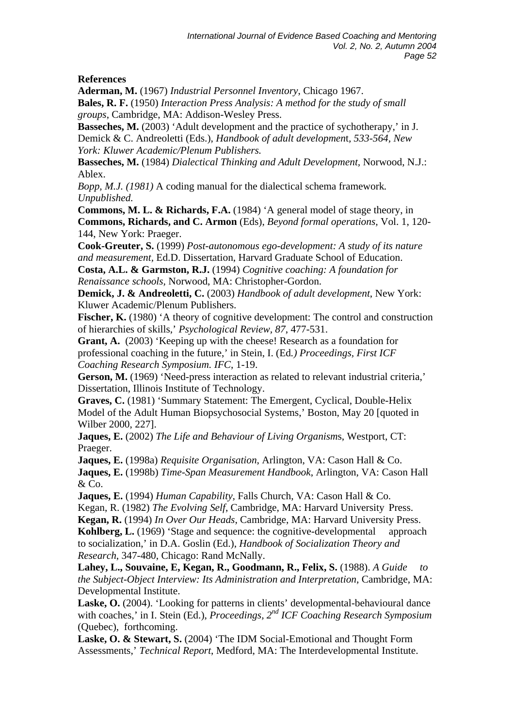## **References**

**Aderman, M.** (1967) *Industrial Personnel Inventory*, Chicago 1967. **Bales, R. F.** (1950) *Interaction Press Analysis: A method for the study of small groups*, Cambridge, MA: Addison-Wesley Press.

**Basseches, M.** (2003) 'Adult development and the practice of sychotherapy,' in J. Demick & C. Andreoletti (Eds.), *Handbook of adult developmen*t*, 533-564, New York: Kluwer Academic/Plenum Publishers.* 

**Basseches, M.** (1984) *Dialectical Thinking and Adult Development,* Norwood, N.J.: Ablex.

*Bopp, M.J. (1981)* A coding manual for the dialectical schema framework*. Unpublished.* 

**Commons, M. L. & Richards, F.A.** (1984) 'A general model of stage theory, in **Commons, Richards, and C. Armon** (Eds), *Beyond formal operations,* Vol. 1, 120- 144, New York: Praeger.

**Cook-Greuter, S.** (1999) *Post-autonomous ego-development: A study of its nature and measurement,* Ed.D. Dissertation, Harvard Graduate School of Education.

**Costa, A.L. & Garmston, R.J.** (1994) *Cognitive coaching: A foundation for Renaissance schools,* Norwood, MA: Christopher-Gordon.

**Demick, J. & Andreoletti, C.** (2003) *Handbook of adult development*, New York: Kluwer Academic/Plenum Publishers.

**Fischer, K.** (1980) 'A theory of cognitive development: The control and construction of hierarchies of skills,' *Psychological Review, 87*, 477-531.

**Grant, A.** (2003) 'Keeping up with the cheese! Research as a foundation for professional coaching in the future,' in Stein, I. (Ed*.) Proceedings, First ICF Coaching Research Symposium. IFC*, 1-19.

**Gerson, M.** (1969) 'Need-press interaction as related to relevant industrial criteria,' Dissertation, Illinois Institute of Technology.

**Graves, C.** (1981) 'Summary Statement: The Emergent, Cyclical, Double- Helix Model of the Adult Human Biopsychosocial Systems,' Boston, May 20 [quoted in Wilber 2000, 227].

**Jaques, E.** (2002) *The Life and Behaviour of Living Organism*s, Westport, CT: Praeger.

**Jaques, E.** (1998a) *Requisite Organisation*, Arlington, VA: Cason Hall & Co. **Jaques, E.** (1998b) *Time-Span Measurement Handbook*, Arlington, VA: Cason Hall

& Co. **Jaques, E.** (1994) *Human Capability,* Falls Church, VA: Cason Hall & Co.

Kegan, R. (1982) *The Evolving Self*, Cambridge, MA: Harvard University Press.

**Kegan, R.** (1994) *In Over Our Heads*, Cambridge, MA: Harvard University Press.

**Kohlberg, L.** (1969) 'Stage and sequence: the cognitive-developmental approach to socialization,' in D.A. Goslin (Ed.), *Handbook of Socialization Theory and Research*, 347-480, Chicago: Rand McNally.

**Lahey, L., Souvaine, E, Kegan, R., Goodmann, R., Felix, S.** (1988). *A Guide to the Subject-Object Interview: Its Administration and Interpretation*, Cambridge, MA: Developmental Institute.

Laske, O. (2004). 'Looking for patterns in clients' developmental-behavioural dance with coaches,' in I. Stein (Ed.), *Proceedings, 2nd ICF Coaching Research Symposium*  (Quebec), forthcoming.

**Laske, O. & Stewart, S.** (2004) 'The IDM Social-Emotional and Thought Form Assessments,' *Technical Report*, Medford, MA: The Interdevelopmental Institute.